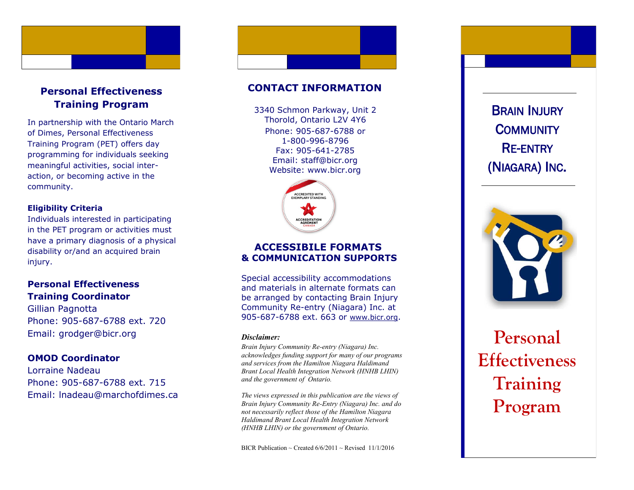

# **Personal Effectiveness Training Program**

In partnership with the Ontario March of Dimes, Personal Effectiveness Training Program (PET) offers day programming for individuals seeking meaningful activities, social inter action, or becoming active in the community.

### **Eligibility Criteria**

Individuals interested in participating in the PET program or activities must have a primary diagnosis of a physical disability or/and an acquired brain injury.

# **Personal Effectiveness Training Coordinator**

Gillian Pagnotta Phone: 905 -687 -6788 ext. 720 Email: grodger@bicr.org

## **OMOD Coordinator**

Lorraine Nadeau Phone: 905 -687 -6788 ext. 715 Email: lnadeau@marchofdimes.ca

# **CONTACT INFORMATION**

Phone: 905 -687 -6788 or 1 -800 -996 -8796 Fax: 905 -641 -2785 Email: staff@bicr.org Website: www.bicr.org 3340 Schmon Parkway, Unit 2 Thorold, Ontario L2V 4Y6



## **ACCESSIBILE FORMATS & COMMUNICATION SUPPORTS**

Special accessibility accommodations and materials in alternate formats can be arranged by contacting Brain Injury Community Re -entry (Niagara) Inc. at 905-687-6788 ext. 663 or [www.bicr.org](http://www.bicr.org).

#### *Disclaimer:*

*Brain Injury Community Re -entry (Niagara) Inc. acknowledges funding support for many of our programs and services from the Hamilton Niagara Haldimand Brant Local Health Integration Network (HNHB LHIN) and the government of Ontario.* 

*The views expressed in this publication are the views of Brain Injury Community Re -Entry (Niagara) Inc. and do not necessarily reflect those of the Hamilton Niagara Haldimand Brant Local Health Integration Network (HNHB LHIN) or the government of Ontario.* 

BICR Publication ~ Created  $6/6/2011$  ~ Revised 11/1/2016

(NIAGARA) INC .



# **Personal Effectiveness Training**